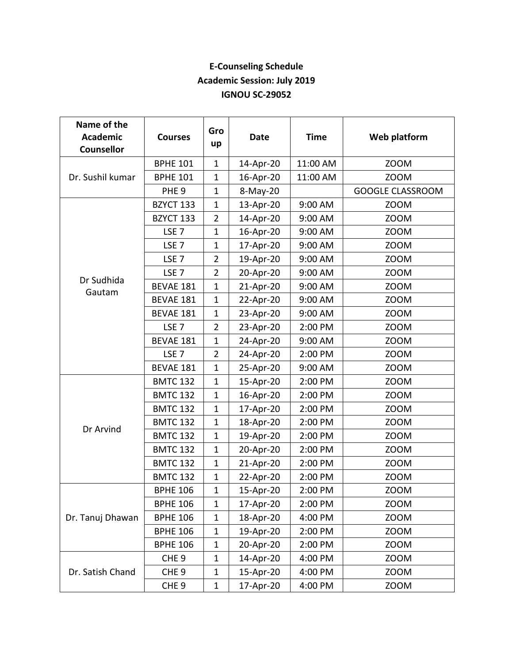## **E-Counseling Schedule Academic Session: July 2019 IGNOU SC-29052**

| Name of the<br><b>Academic</b><br><b>Counsellor</b> | <b>Courses</b>   | Gro<br>up      | <b>Date</b> | <b>Time</b> | Web platform            |
|-----------------------------------------------------|------------------|----------------|-------------|-------------|-------------------------|
| Dr. Sushil kumar                                    | <b>BPHE 101</b>  | $\mathbf{1}$   | 14-Apr-20   | 11:00 AM    | <b>ZOOM</b>             |
|                                                     | <b>BPHE 101</b>  | $\mathbf{1}$   | 16-Apr-20   | 11:00 AM    | <b>ZOOM</b>             |
|                                                     | PHE <sub>9</sub> | $\mathbf{1}$   | 8-May-20    |             | <b>GOOGLE CLASSROOM</b> |
| Dr Sudhida<br>Gautam                                | BZYCT 133        | $\mathbf{1}$   | 13-Apr-20   | 9:00 AM     | <b>ZOOM</b>             |
|                                                     | BZYCT 133        | $\overline{2}$ | 14-Apr-20   | 9:00 AM     | <b>ZOOM</b>             |
|                                                     | LSE <sub>7</sub> | $\mathbf{1}$   | 16-Apr-20   | 9:00 AM     | <b>ZOOM</b>             |
|                                                     | LSE <sub>7</sub> | $\mathbf{1}$   | 17-Apr-20   | 9:00 AM     | <b>ZOOM</b>             |
|                                                     | LSE <sub>7</sub> | $\overline{2}$ | 19-Apr-20   | 9:00 AM     | <b>ZOOM</b>             |
|                                                     | LSE <sub>7</sub> | $\overline{2}$ | 20-Apr-20   | 9:00 AM     | <b>ZOOM</b>             |
|                                                     | BEVAE 181        | $\mathbf{1}$   | 21-Apr-20   | 9:00 AM     | <b>ZOOM</b>             |
|                                                     | BEVAE 181        | $\mathbf{1}$   | 22-Apr-20   | 9:00 AM     | <b>ZOOM</b>             |
|                                                     | BEVAE 181        | $\mathbf{1}$   | 23-Apr-20   | 9:00 AM     | <b>ZOOM</b>             |
|                                                     | LSE <sub>7</sub> | $\overline{2}$ | 23-Apr-20   | 2:00 PM     | <b>ZOOM</b>             |
|                                                     | BEVAE 181        | 1              | 24-Apr-20   | 9:00 AM     | <b>ZOOM</b>             |
|                                                     | LSE <sub>7</sub> | $\overline{2}$ | 24-Apr-20   | 2:00 PM     | <b>ZOOM</b>             |
|                                                     | BEVAE 181        | $\mathbf{1}$   | 25-Apr-20   | 9:00 AM     | <b>ZOOM</b>             |
| Dr Arvind                                           | <b>BMTC 132</b>  | $\mathbf{1}$   | 15-Apr-20   | 2:00 PM     | <b>ZOOM</b>             |
|                                                     | <b>BMTC 132</b>  | $\mathbf{1}$   | 16-Apr-20   | 2:00 PM     | <b>ZOOM</b>             |
|                                                     | <b>BMTC 132</b>  | $\mathbf{1}$   | 17-Apr-20   | 2:00 PM     | <b>ZOOM</b>             |
|                                                     | <b>BMTC 132</b>  | $\mathbf{1}$   | 18-Apr-20   | 2:00 PM     | <b>ZOOM</b>             |
|                                                     | <b>BMTC 132</b>  | 1              | 19-Apr-20   | 2:00 PM     | <b>ZOOM</b>             |
|                                                     | <b>BMTC 132</b>  | $\mathbf{1}$   | 20-Apr-20   | 2:00 PM     | <b>ZOOM</b>             |
|                                                     | <b>BMTC 132</b>  | $\mathbf{1}$   | 21-Apr-20   | 2:00 PM     | <b>ZOOM</b>             |
|                                                     | <b>BMTC 132</b>  | $\mathbf{1}$   | 22-Apr-20   | 2:00 PM     | <b>ZOOM</b>             |
| Dr. Tanuj Dhawan                                    | <b>BPHE 106</b>  | $\overline{1}$ | 15-Apr-20   | 2:00 PM     | <b>ZOOM</b>             |
|                                                     | <b>BPHE 106</b>  | $\mathbf{1}$   | 17-Apr-20   | 2:00 PM     | <b>ZOOM</b>             |
|                                                     | <b>BPHE 106</b>  | 1              | 18-Apr-20   | 4:00 PM     | <b>ZOOM</b>             |
|                                                     | <b>BPHE 106</b>  | 1              | 19-Apr-20   | 2:00 PM     | <b>ZOOM</b>             |
|                                                     | <b>BPHE 106</b>  | 1              | 20-Apr-20   | 2:00 PM     | <b>ZOOM</b>             |
| Dr. Satish Chand                                    | CHE <sub>9</sub> | $\mathbf{1}$   | 14-Apr-20   | 4:00 PM     | <b>ZOOM</b>             |
|                                                     | CHE <sub>9</sub> | 1              | 15-Apr-20   | 4:00 PM     | <b>ZOOM</b>             |
|                                                     | CHE <sub>9</sub> | $\mathbf{1}$   | 17-Apr-20   | 4:00 PM     | <b>ZOOM</b>             |